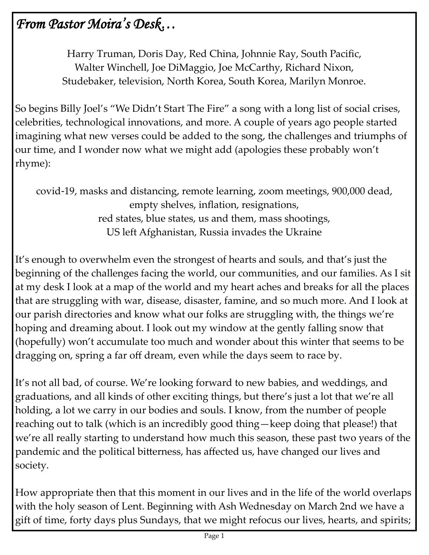# *From Pastor Moira's Desk…*

Harry Truman, Doris Day, Red China, Johnnie Ray, South Pacific, Walter Winchell, Joe DiMaggio, Joe McCarthy, Richard Nixon, Studebaker, television, North Korea, South Korea, Marilyn Monroe.

So begins Billy Joel's "We Didn't Start The Fire" a song with a long list of social crises, celebrities, technological innovations, and more. A couple of years ago people started imagining what new verses could be added to the song, the challenges and triumphs of our time, and I wonder now what we might add (apologies these probably won't rhyme):

covid-19, masks and distancing, remote learning, zoom meetings, 900,000 dead, empty shelves, inflation, resignations, red states, blue states, us and them, mass shootings, US left Afghanistan, Russia invades the Ukraine

It's enough to overwhelm even the strongest of hearts and souls, and that's just the beginning of the challenges facing the world, our communities, and our families. As I sit at my desk I look at a map of the world and my heart aches and breaks for all the places that are struggling with war, disease, disaster, famine, and so much more. And I look at our parish directories and know what our folks are struggling with, the things we're hoping and dreaming about. I look out my window at the gently falling snow that (hopefully) won't accumulate too much and wonder about this winter that seems to be dragging on, spring a far off dream, even while the days seem to race by.

It's not all bad, of course. We're looking forward to new babies, and weddings, and graduations, and all kinds of other exciting things, but there's just a lot that we're all holding, a lot we carry in our bodies and souls. I know, from the number of people reaching out to talk (which is an incredibly good thing—keep doing that please!) that we're all really starting to understand how much this season, these past two years of the pandemic and the political bitterness, has affected us, have changed our lives and society.

How appropriate then that this moment in our lives and in the life of the world overlaps with the holy season of Lent. Beginning with Ash Wednesday on March 2nd we have a gift of time, forty days plus Sundays, that we might refocus our lives, hearts, and spirits;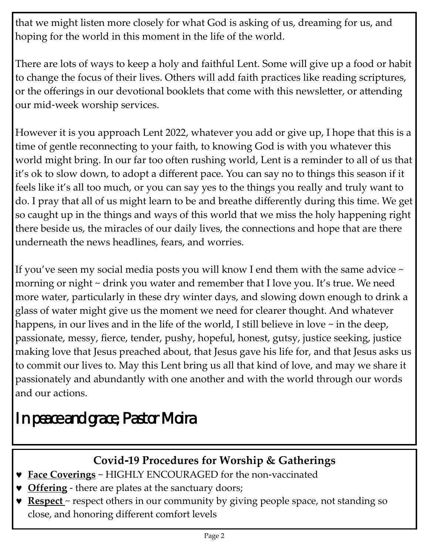that we might listen more closely for what God is asking of us, dreaming for us, and hoping for the world in this moment in the life of the world.

There are lots of ways to keep a holy and faithful Lent. Some will give up a food or habit to change the focus of their lives. Others will add faith practices like reading scriptures, or the offerings in our devotional booklets that come with this newsletter, or attending our mid-week worship services.

However it is you approach Lent 2022, whatever you add or give up, I hope that this is a time of gentle reconnecting to your faith, to knowing God is with you whatever this world might bring. In our far too often rushing world, Lent is a reminder to all of us that it's ok to slow down, to adopt a different pace. You can say no to things this season if it feels like it's all too much, or you can say yes to the things you really and truly want to do. I pray that all of us might learn to be and breathe differently during this time. We get so caught up in the things and ways of this world that we miss the holy happening right there beside us, the miracles of our daily lives, the connections and hope that are there underneath the news headlines, fears, and worries.

If you've seen my social media posts you will know I end them with the same advice  $\sim$ morning or night ~ drink you water and remember that I love you. It's true. We need more water, particularly in these dry winter days, and slowing down enough to drink a glass of water might give us the moment we need for clearer thought. And whatever happens, in our lives and in the life of the world, I still believe in love ~ in the deep, passionate, messy, fierce, tender, pushy, hopeful, honest, gutsy, justice seeking, justice making love that Jesus preached about, that Jesus gave his life for, and that Jesus asks us to commit our lives to. May this Lent bring us all that kind of love, and may we share it passionately and abundantly with one another and with the world through our words and our actions.

# *In peace and grace, Pastor Moira*

## **Covid-19 Procedures for Worship & Gatherings**

- **Face Coverings** ~ HIGHLY ENCOURAGED for the non-vaccinated
- **v** Offering there are plates at the sanctuary doors;
- **Respect** ~ respect others in our community by giving people space, not standing so close, and honoring different comfort levels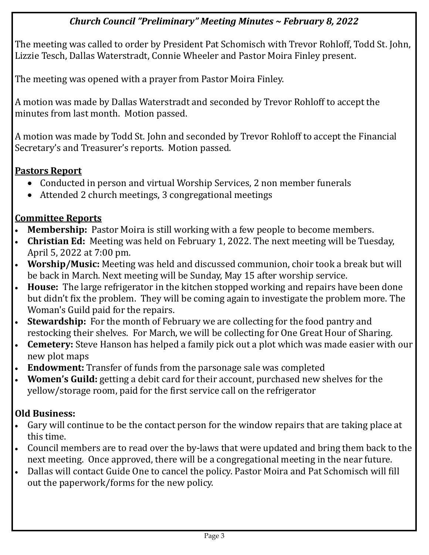### *Church Council "Preliminary" Meeting Minutes ~ February 8, 2022*

The meeting was called to order by President Pat Schomisch with Trevor Rohloff, Todd St. John, Lizzie Tesch, Dallas Waterstradt, Connie Wheeler and Pastor Moira Finley present.

The meeting was opened with a prayer from Pastor Moira Finley.

A motion was made by Dallas Waterstradt and seconded by Trevor Rohloff to accept the minutes from last month. Motion passed.

A motion was made by Todd St. John and seconded by Trevor Rohloff to accept the Financial Secretary's and Treasurer's reports. Motion passed.

### **Pastors Report**

- Conducted in person and virtual Worship Services, 2 non member funerals
- Attended 2 church meetings, 3 congregational meetings

### **Committee Reports**

- **Membership:** Pastor Moira is still working with a few people to become members.
- **Christian Ed:** Meeting was held on February 1, 2022. The next meeting will be Tuesday, April 5, 2022 at 7:00 pm.
- **Worship/Music:** Meeting was held and discussed communion, choir took a break but will be back in March. Next meeting will be Sunday, May 15 after worship service.
- **House:** The large refrigerator in the kitchen stopped working and repairs have been done but didn't fix the problem. They will be coming again to investigate the problem more. The Woman's Guild paid for the repairs.
- **Stewardship:** For the month of February we are collecting for the food pantry and restocking their shelves. For March, we will be collecting for One Great Hour of Sharing.
- **Cemetery:** Steve Hanson has helped a family pick out a plot which was made easier with our new plot maps
- **Endowment:** Transfer of funds from the parsonage sale was completed
- **Women's Guild:** getting a debit card for their account, purchased new shelves for the yellow/storage room, paid for the first service call on the refrigerator

### **Old Business:**

- Gary will continue to be the contact person for the window repairs that are taking place at this time.
- Council members are to read over the by-laws that were updated and bring them back to the next meeting. Once approved, there will be a congregational meeting in the near future.
- Dallas will contact Guide One to cancel the policy. Pastor Moira and Pat Schomisch will fill out the paperwork/forms for the new policy.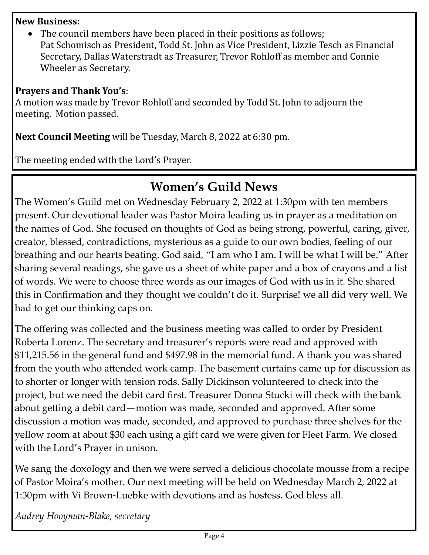#### **New Business:**

• The council members have been placed in their positions as follows; Pat Schomisch as President, Todd St. John as Vice President, Lizzie Tesch as Financial Secretary, Dallas Waterstradt as Treasurer, Trevor Rohloff as member and Connie Wheeler as Secretary.

#### **Prayers and Thank You's**:

A motion was made by Trevor Rohloff and seconded by Todd St. John to adjourn the meeting. Motion passed.

**Next Council Meeting** will be Tuesday, March 8, 2022 at 6:30 pm.

The meeting ended with the Lord's Prayer.

# **Women's Guild News**

The Women's Guild met on Wednesday February 2, 2022 at 1:30pm with ten members present. Our devotional leader was Pastor Moira leading us in prayer as a meditation on the names of God. She focused on thoughts of God as being strong, powerful, caring, giver, creator, blessed, contradictions, mysterious as a guide to our own bodies, feeling of our breathing and our hearts beating. God said, "I am who I am. I will be what I will be." After sharing several readings, she gave us a sheet of white paper and a box of crayons and a list of words. We were to choose three words as our images of God with us in it. She shared this in Confirmation and they thought we couldn't do it. Surprise! we all did very well. We had to get our thinking caps on.

The offering was collected and the business meeting was called to order by President Roberta Lorenz. The secretary and treasurer's reports were read and approved with \$11,215.56 in the general fund and \$497.98 in the memorial fund. A thank you was shared from the youth who attended work camp. The basement curtains came up for discussion as to shorter or longer with tension rods. Sally Dickinson volunteered to check into the project, but we need the debit card first. Treasurer Donna Stucki will check with the bank about getting a debit card—motion was made, seconded and approved. After some discussion a motion was made, seconded, and approved to purchase three shelves for the yellow room at about \$30 each using a gift card we were given for Fleet Farm. We closed with the Lord's Prayer in unison.

We sang the doxology and then we were served a delicious chocolate mousse from a recipe of Pastor Moira's mother. Our next meeting will be held on Wednesday March 2, 2022 at 1:30pm with Vi Brown-Luebke with devotions and as hostess. God bless all.

*Audrey Hooyman-Blake, secretary*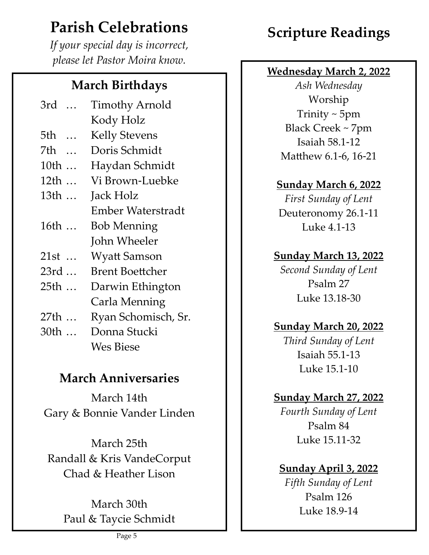# **Parish Celebrations**

*If your special day is incorrect, please let Pastor Moira know.*

# **March Birthdays**

| 3rd                          | <b>Timothy Arnold</b>    |
|------------------------------|--------------------------|
|                              | Kody Holz                |
| 5th<br>$\dddot{\phantom{0}}$ | <b>Kelly Stevens</b>     |
| 7th                          | Doris Schmidt            |
| 10th                         | Haydan Schmidt           |
| 12th                         | Vi Brown-Luebke          |
| 13th                         | Jack Holz                |
|                              | <b>Ember Waterstradt</b> |
| 16th                         | <b>Bob Menning</b>       |
|                              | John Wheeler             |
| 21st                         | <b>Wyatt Samson</b>      |
| 23rd                         | <b>Brent Boettcher</b>   |
| 25th                         | Darwin Ethington         |
|                              | Carla Menning            |
| 27th<br>$\ddotsc$            | Ryan Schomisch, Sr.      |
|                              |                          |

 $30th$  ... … Donna Stucki Wes Biese

# **March Anniversaries**

March 14th Gary & Bonnie Vander Linden

March 25th Randall & Kris VandeCorput Chad & Heather Lison

> March 30th Paul & Taycie Schmidt

# **Scripture Readings**

### **Wednesday March 2, 2022**

*Ash Wednesday* Worship Trinity ~ 5pm Black Creek ~ 7pm Isaiah 58.1 -12 Matthew 6.1 -6, 16 -21

### **Sunday March 6, 2022**

*First Sunday of Lent* Deuteronomy 26.1 -11 Luke 4.1 -13

### **Sunday March 13, 2022**

*Second Sunday of Lent* Psalm 27 Luke 13.18 -30

## **Sunday March 20, 2022**

*Third Sunday of Lent* Isaiah 55.1 -13 Luke 15.1 -10

## **Sunday March 27, 2022**

*Fourth Sunday of Lent* Psalm 84 Luke 15.11 -32

### **Sunday April 3, 2022**

*Fifth Sunday of Lent* Psalm 126 Luke 18.9 -14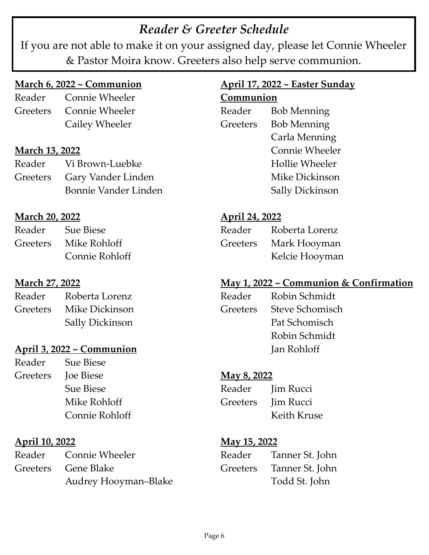# *Reader & Greeter Schedule*

If you are not able to make it on your assigned day, please let Connie Wheeler & Pastor Moira know. Greeters also help serve communion.

### **March 6, 2022 ~ Communion**

Reader Connie Wheeler Greeters Connie Wheeler Cailey Wheeler

#### **March 13, 2022**

| Reader | Vi Brown-Luebke             |
|--------|-----------------------------|
|        | Greeters Gary Vander Linden |
|        | Bonnie Vander Linden        |

### **March 20, 2022**

| Reader | <b>Sue Biese</b>      |
|--------|-----------------------|
|        | Greeters Mike Rohloff |
|        | Connie Rohloff        |

### **March 27, 2022**

| Reader | Roberta Lorenz          |
|--------|-------------------------|
|        | Greeters Mike Dickinson |
|        | <b>Sally Dickinson</b>  |

### **April 3, 2022 ~ Communion**

Reader Sue Biese Greeters Joe Biese Sue Biese Mike Rohloff Connie Rohloff

### **April 10, 2022**

| Reader Connie Wheeler |
|-----------------------|
| Greeters Gene Blake   |
| Audrey Hooyman-Blake  |

#### **April 17, 2022 ~ Easter Sunday Communion**

| Reader   | <b>Bob Menning</b>    |
|----------|-----------------------|
| Greeters | <b>Bob Menning</b>    |
|          | Carla Menning         |
|          | <b>Connie Wheeler</b> |
|          | <b>Hollie Wheeler</b> |
|          | Mike Dickinson        |
|          | Sally Dickinson       |

### **April 24, 2022**

| Reader          | Roberta Lorenz |
|-----------------|----------------|
| <b>Greeters</b> | Mark Hooyman   |
|                 | Kelcie Hooyman |

### **May 1, 2022 ~ Communion & Confirmation**

| Reader   | Robin Schmidt   |
|----------|-----------------|
| Greeters | Steve Schomisch |
|          | Pat Schomisch   |
|          | Robin Schmidt   |
|          | Jan Rohloff     |
|          |                 |

#### **May 8, 2022**

| Reader   | <b>Jim Rucci</b> |
|----------|------------------|
| Greeters | <b>Jim Rucci</b> |
|          | Keith Kruse      |

#### **May 15, 2022**

| Reader   | Tanner St. John |
|----------|-----------------|
| Greeters | Tanner St. John |
|          | Todd St. John   |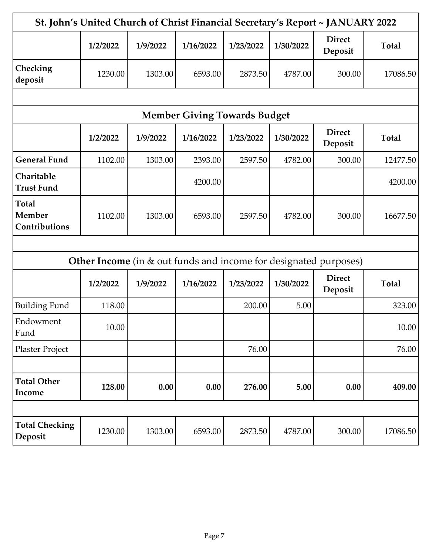| St. John's United Church of Christ Financial Secretary's Report ~ JANUARY 2022 |          |          |                                     |           |           |                                                                         |              |
|--------------------------------------------------------------------------------|----------|----------|-------------------------------------|-----------|-----------|-------------------------------------------------------------------------|--------------|
|                                                                                | 1/2/2022 | 1/9/2022 | 1/16/2022                           | 1/23/2022 | 1/30/2022 | <b>Direct</b><br>Deposit                                                | <b>Total</b> |
| Checking<br>deposit                                                            | 1230.00  | 1303.00  | 6593.00                             | 2873.50   | 4787.00   | 300.00                                                                  | 17086.50     |
|                                                                                |          |          |                                     |           |           |                                                                         |              |
|                                                                                |          |          | <b>Member Giving Towards Budget</b> |           |           |                                                                         |              |
|                                                                                | 1/2/2022 | 1/9/2022 | 1/16/2022                           | 1/23/2022 | 1/30/2022 | <b>Direct</b><br>Deposit                                                | <b>Total</b> |
| <b>General Fund</b>                                                            | 1102.00  | 1303.00  | 2393.00                             | 2597.50   | 4782.00   | 300.00                                                                  | 12477.50     |
| Charitable<br><b>Trust Fund</b>                                                |          |          | 4200.00                             |           |           |                                                                         | 4200.00      |
| <b>Total</b><br>Member<br>Contributions                                        | 1102.00  | 1303.00  | 6593.00                             | 2597.50   | 4782.00   | 300.00                                                                  | 16677.50     |
|                                                                                |          |          |                                     |           |           |                                                                         |              |
|                                                                                |          |          |                                     |           |           | <b>Other Income</b> (in & out funds and income for designated purposes) |              |
|                                                                                | 1/2/2022 | 1/9/2022 | 1/16/2022                           | 1/23/2022 | 1/30/2022 | <b>Direct</b><br>Deposit                                                | <b>Total</b> |
| <b>Building Fund</b>                                                           | 118.00   |          |                                     | 200.00    | 5.00      |                                                                         | 323.00       |
| Endowment<br>Fund                                                              | 10.00    |          |                                     |           |           |                                                                         | 10.00        |
| Plaster Project                                                                |          |          |                                     | 76.00     |           |                                                                         | 76.00        |
|                                                                                |          |          |                                     |           |           |                                                                         |              |
| <b>Total Other</b><br>Income                                                   | 128.00   | 0.00     | 0.00                                | 276.00    | 5.00      | 0.00                                                                    | 409.00       |
|                                                                                |          |          |                                     |           |           |                                                                         |              |
| <b>Total Checking</b><br>Deposit                                               | 1230.00  | 1303.00  | 6593.00                             | 2873.50   | 4787.00   | 300.00                                                                  | 17086.50     |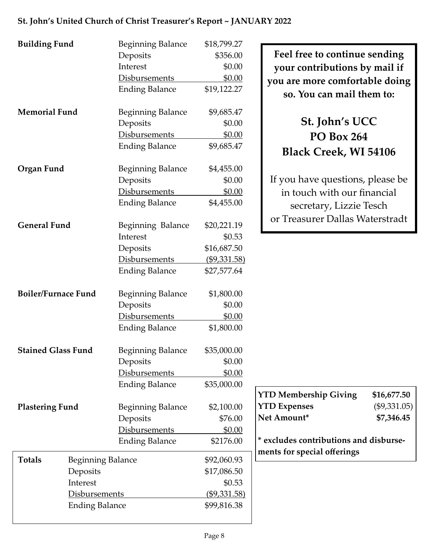| <b>Building Fund</b>       |                          | <b>Beginning Balance</b> | \$18,799.27   |  |
|----------------------------|--------------------------|--------------------------|---------------|--|
|                            |                          | Deposits                 | \$356.00      |  |
|                            |                          | Interest                 | \$0.00        |  |
|                            |                          | <b>Disbursements</b>     | \$0.00        |  |
|                            |                          | <b>Ending Balance</b>    | \$19,122.27   |  |
| <b>Memorial Fund</b>       |                          | <b>Beginning Balance</b> | \$9,685.47    |  |
|                            |                          | Deposits                 | \$0.00        |  |
|                            |                          | Disbursements            | \$0.00        |  |
|                            |                          | <b>Ending Balance</b>    | \$9,685.47    |  |
| Organ Fund                 |                          | <b>Beginning Balance</b> | \$4,455.00    |  |
|                            |                          | Deposits<br>\$0.00       |               |  |
|                            |                          | <b>Disbursements</b>     | <u>\$0.00</u> |  |
|                            |                          | <b>Ending Balance</b>    | \$4,455.00    |  |
| <b>General Fund</b>        |                          | Beginning Balance        | \$20,221.19   |  |
|                            |                          | Interest                 | \$0.53        |  |
|                            |                          | Deposits                 | \$16,687.50   |  |
|                            |                          | <b>Disbursements</b>     | (\$9,331.58)  |  |
|                            |                          | <b>Ending Balance</b>    | \$27,577.64   |  |
| <b>Boiler/Furnace Fund</b> |                          | <b>Beginning Balance</b> | \$1,800.00    |  |
|                            |                          | Deposits                 | \$0.00        |  |
|                            |                          | Disbursements            | \$0.00        |  |
|                            |                          | <b>Ending Balance</b>    | \$1,800.00    |  |
| <b>Stained Glass Fund</b>  |                          | <b>Beginning Balance</b> | \$35,000.00   |  |
|                            |                          | Deposits                 | \$0.00        |  |
|                            |                          | <b>Disbursements</b>     | \$0.00        |  |
|                            |                          | <b>Ending Balance</b>    | \$35,000.00   |  |
| <b>Plastering Fund</b>     |                          | <b>Beginning Balance</b> | \$2,100.00    |  |
|                            |                          | Deposits                 | \$76.00       |  |
|                            |                          | Disbursements            | \$0.00        |  |
|                            |                          | <b>Ending Balance</b>    | \$2176.00     |  |
| <b>Totals</b>              | <b>Beginning Balance</b> |                          | \$92,060.93   |  |
|                            | Deposits                 |                          | \$17,086.50   |  |
| Interest                   |                          |                          | \$0.53        |  |
| <b>Disbursements</b>       |                          |                          | (\$9,331.58)  |  |
|                            | <b>Ending Balance</b>    |                          | \$99,816.38   |  |

**Feel free to continue sending your contributions by mail if you are more comfortable doing so. You can mail them to:**

# **St. John's UCC PO Box 264 Black Creek, WI 54106**

If you have questions, please be in touch with our financial secretary, Lizzie Tesch or Treasurer Dallas Waterstradt

| <b>YTD Membership Giving</b>                                          | \$16,677.50    |
|-----------------------------------------------------------------------|----------------|
| <b>YTD Expenses</b>                                                   | $(\$9,331.05)$ |
| Net Amount*                                                           | \$7,346.45     |
| * excludes contributions and disburse-<br>ments for special offerings |                |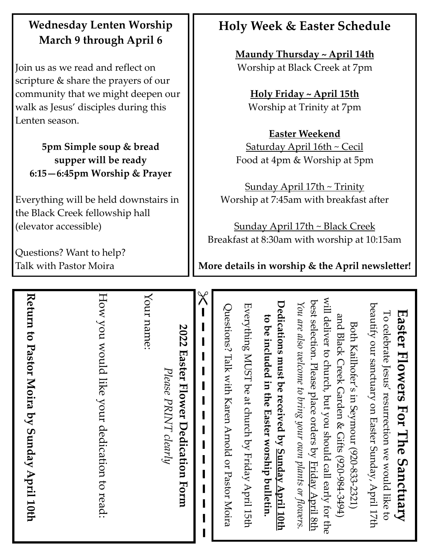# **Wednesday Lenten Worship March 9 through April 6**

Join us as we read and reflect on scripture & share the prayers of our community that we might deepen our walk as Jesus' disciples during this Lenten season.

**5pm Simple soup & bread supper will be ready 6:15—6:45pm Worship & Prayer**

Everything will be held downstairs in the Black Creek fellowship hall (elevator accessible)

Questions? Want to help? Talk with Pastor Moira

# **Holy Week & Easter Schedule**

**Maundy Thursday ~ April 14th** Worship at Black Creek at 7pm

**Holy Friday ~ April 15th** Worship at Trinity at 7pm

**Easter Weekend** Saturday April 16th ~ Cecil Food at 4pm & Worship at 5pm

Sunday April 17th ~ Trinity Worship at 7:45am with breakfast after

Sunday April 17th ~ Black Creek Breakfast at 8:30am with worship at 10:15am

**More details in worship & the April newsletter!**

| Return to Pastor Moira by Sunday April 10th                                                                                                                                                                                                                                                                                                                                                                                                                                                                                                                                                                                                                            |
|------------------------------------------------------------------------------------------------------------------------------------------------------------------------------------------------------------------------------------------------------------------------------------------------------------------------------------------------------------------------------------------------------------------------------------------------------------------------------------------------------------------------------------------------------------------------------------------------------------------------------------------------------------------------|
| How you would like your dedication to read:                                                                                                                                                                                                                                                                                                                                                                                                                                                                                                                                                                                                                            |
| Your name:<br>2022 Easter Flower Dedication Form<br>Please PRINT clearly                                                                                                                                                                                                                                                                                                                                                                                                                                                                                                                                                                                               |
| $\chi$                                                                                                                                                                                                                                                                                                                                                                                                                                                                                                                                                                                                                                                                 |
| will deliver to church, but you should call early for the<br>best selection. Please place orders by <u>Friday April 8th</u><br>Dedications must be received by <u>Sunday April 10th</u><br>You are also welcome to bring your own plants or flowers.<br>beautify our sanctuary on Easter Sunday, April 17th<br>Everything MUST be at church by Friday April 15th<br>Questions? Talk with Karen Arnold or Pastor Moira<br><b>Easter Flowers For The Sanctuary</b><br>To celebrate Jesus' resurrection we would like to<br>and Black Creek Garden & Gifts (920-984-3494)<br>to be included in the Easter worship bulletin.<br>Both Kailhofer's in Seymour (920-833-2321) |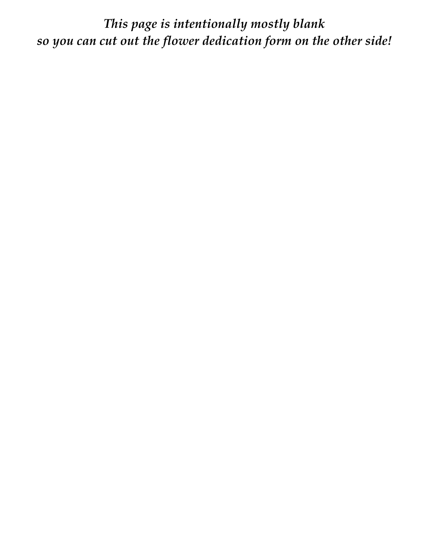*This page is intentionally mostly blank so you can cut out the flower dedication form on the other side!*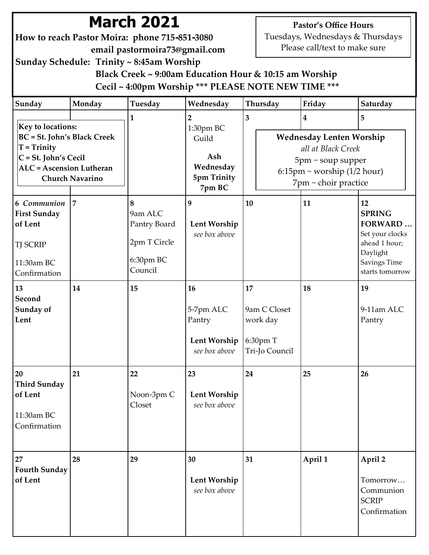# **March 2021**

**How to reach Pastor Moira: phone 715-851-3080 email pastormoira73@gmail.com**

**Pastor's Office Hours** Tuesdays, Wednesdays & Thursdays

Please call/text to make sure

**Sunday Schedule: Trinity ~ 8:45am Worship**

 **Black Creek ~ 9:00am Education Hour & 10:15 am Worship Cecil ~ 4:00pm Worship \*\*\* PLEASE NOTE NEW TIME \*\*\***

| Sunday                                                                                                                                       | Monday                 | <b>Tuesday</b>                                                                                                                | Wednesday                                                  | Thursday                                                           | Friday           | Saturday                                                                                                                 |
|----------------------------------------------------------------------------------------------------------------------------------------------|------------------------|-------------------------------------------------------------------------------------------------------------------------------|------------------------------------------------------------|--------------------------------------------------------------------|------------------|--------------------------------------------------------------------------------------------------------------------------|
|                                                                                                                                              |                        | 1                                                                                                                             | $\overline{2}$                                             | 3                                                                  | $\boldsymbol{4}$ | 5                                                                                                                        |
| <b>Key to locations:</b><br><b>BC</b> = St. John's Black Creek<br>$T = Trinity$<br>$C = St. John's Cecil$<br><b>ALC</b> = Ascension Lutheran | <b>Church Navarino</b> | 1:30pm BC<br>Wednesday Lenten Worship<br>Guild<br>Ash<br>Wednesday<br>$6:15$ pm ~ worship (1/2 hour)<br>5pm Trinity<br>7pm BC |                                                            | all at Black Creek<br>$5$ pm ~ soup supper<br>7pm ~ choir practice |                  |                                                                                                                          |
| 6 Communion<br><b>First Sunday</b><br>of Lent<br><b>TJ SCRIP</b><br>11:30am BC<br>Confirmation                                               | $\overline{7}$         | 8<br>9am ALC<br>Pantry Board<br>2pm T Circle<br>6:30pm BC<br>Council                                                          | 9<br>Lent Worship<br>see box above                         | 10                                                                 | 11               | 12<br><b>SPRING</b><br><b>FORWARD</b><br>Set your clocks<br>ahead 1 hour;<br>Daylight<br>Savings Time<br>starts tomorrow |
| 13<br>Second<br>Sunday of<br>Lent                                                                                                            | 14                     | 15                                                                                                                            | 16<br>5-7pm ALC<br>Pantry<br>Lent Worship<br>see box above | 17<br>9am C Closet<br>work day<br>6:30pm T<br>Tri-Jo Council       | 18               | 19<br>9-11am ALC<br>Pantry                                                                                               |
| 20<br><b>Third Sunday</b><br>of Lent<br>11:30am BC<br>Confirmation                                                                           | 21                     | 22<br>Noon-3pm C<br>Closet                                                                                                    | 23<br>Lent Worship<br>see box above                        | 24                                                                 | 25               | 26                                                                                                                       |
| 27<br><b>Fourth Sunday</b><br>of Lent                                                                                                        | 28                     | 29                                                                                                                            | 30<br>Lent Worship<br>see box above                        | 31                                                                 | April 1          | April 2<br>Tomorrow<br>Communion<br><b>SCRIP</b><br>Confirmation                                                         |